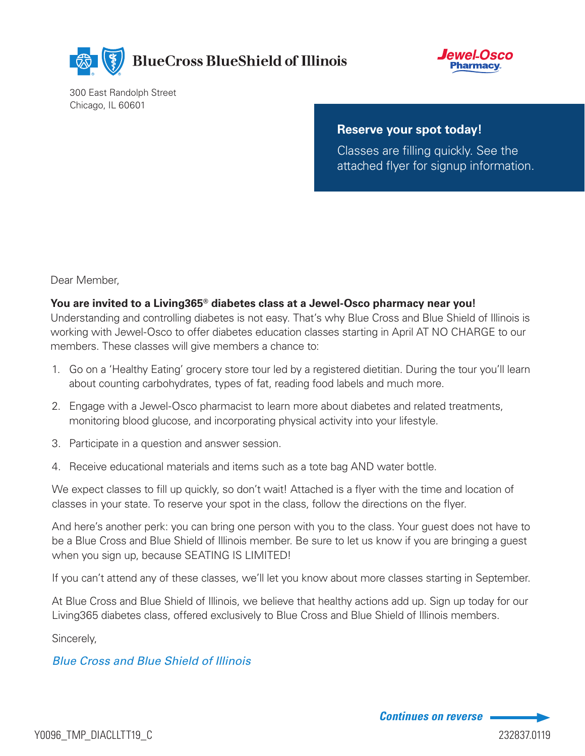

**BlueCross BlueShield of Illinois** 



300 East Randolph Street Chicago, IL 60601

#### **Reserve your spot today!**

Classes are filling quickly. See the attached flyer for signup information.

Dear Member,

#### **You are invited to a Living365® diabetes class at a Jewel-Osco pharmacy near you!**

Understanding and controlling diabetes is not easy. That's why Blue Cross and Blue Shield of Illinois is working with Jewel-Osco to offer diabetes education classes starting in April AT NO CHARGE to our members. These classes will give members a chance to:

- 1. Go on a 'Healthy Eating' grocery store tour led by a registered dietitian. During the tour you'll learn about counting carbohydrates, types of fat, reading food labels and much more.
- 2. Engage with a Jewel-Osco pharmacist to learn more about diabetes and related treatments, monitoring blood glucose, and incorporating physical activity into your lifestyle.
- 3. Participate in a question and answer session.
- 4. Receive educational materials and items such as a tote bag AND water bottle.

We expect classes to fill up quickly, so don't wait! Attached is a flyer with the time and location of classes in your state. To reserve your spot in the class, follow the directions on the flyer.

And here's another perk: you can bring one person with you to the class. Your guest does not have to be a Blue Cross and Blue Shield of Illinois member. Be sure to let us know if you are bringing a guest when you sign up, because SEATING IS LIMITED!

If you can't attend any of these classes, we'll let you know about more classes starting in September.

At Blue Cross and Blue Shield of Illinois, we believe that healthy actions add up. Sign up today for our Living365 diabetes class, offered exclusively to Blue Cross and Blue Shield of Illinois members.

Sincerely,

### *Blue Cross and Blue Shield of Illinois*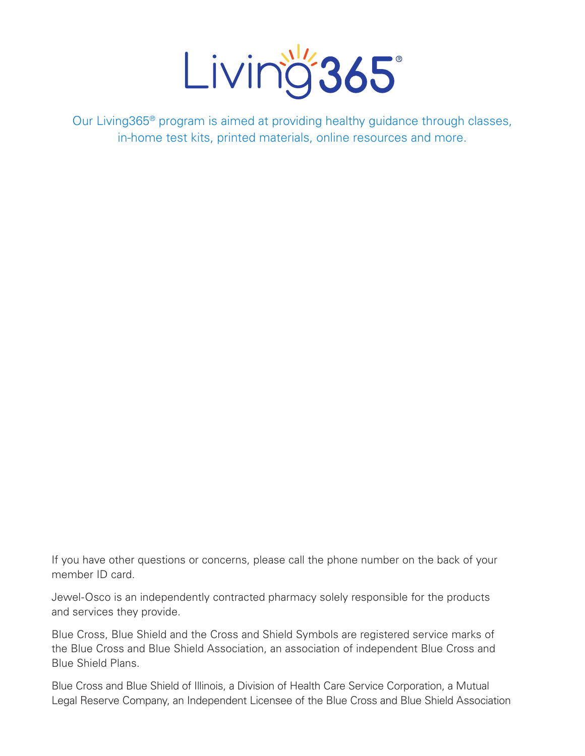

Our Living365® program is aimed at providing healthy guidance through classes, in-home test kits, printed materials, online resources and more.

If you have other questions or concerns, please call the phone number on the back of your member ID card.

Jewel-Osco is an independently contracted pharmacy solely responsible for the products and services they provide.

Blue Cross, Blue Shield and the Cross and Shield Symbols are registered service marks of the Blue Cross and Blue Shield Association, an association of independent Blue Cross and Blue Shield Plans.

Blue Cross and Blue Shield of Illinois, a Division of Health Care Service Corporation, a Mutual Legal Reserve Company, an Independent Licensee of the Blue Cross and Blue Shield Association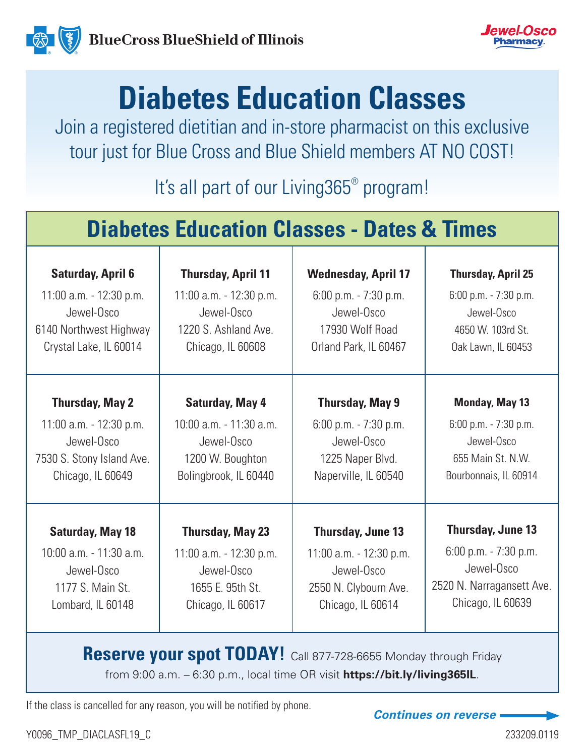



# **Diabetes Education Classes**

Join a registered dietitian and in-store pharmacist on this exclusive tour just for Blue Cross and Blue Shield members AT NO COST!

It's all part of our Living365<sup>®</sup> program!

## **Diabetes Education Classes - Dates & Times**

| <b>Saturday, April 6</b>    | <b>Thursday, April 11</b>   | <b>Wednesday, April 17</b> | <b>Thursday, April 25</b> |
|-----------------------------|-----------------------------|----------------------------|---------------------------|
| $11:00$ a.m. - $12:30$ p.m. | $11:00$ a.m. - $12:30$ p.m. | $6:00$ p.m. $-7:30$ p.m.   | 6:00 p.m. - 7:30 p.m.     |
| Jewel-Osco                  | Jewel-Osco                  | Jewel-Osco                 | Jewel-Osco                |
| 6140 Northwest Highway      | 1220 S. Ashland Ave.        | 17930 Wolf Road            | 4650 W. 103rd St.         |
| Crystal Lake, IL 60014      | Chicago, IL 60608           | Orland Park, IL 60467      | Oak Lawn, IL 60453        |
| <b>Thursday, May 2</b>      | <b>Saturday, May 4</b>      | <b>Thursday, May 9</b>     | <b>Monday, May 13</b>     |
| $11:00$ a.m. - $12:30$ p.m. | $10:00$ a.m. $-11:30$ a.m.  | $6:00$ p.m. $-7:30$ p.m.   | 6:00 p.m. - 7:30 p.m.     |
| Jewel-Osco                  | Jewel-Osco                  | Jewel-Osco                 | Jewel-Osco                |
| 7530 S. Stony Island Ave.   | 1200 W. Boughton            | 1225 Naper Blvd.           | 655 Main St. N.W.         |
| Chicago, IL 60649           | Bolingbrook, IL 60440       | Naperville, IL 60540       | Bourbonnais, IL 60914     |
| <b>Saturday, May 18</b>     | <b>Thursday, May 23</b>     | <b>Thursday, June 13</b>   | <b>Thursday, June 13</b>  |
| 10:00 a.m. - 11:30 a.m.     | $11:00$ a.m. - $12:30$ p.m. | $11:00$ a.m. $-12:30$ p.m. | $6:00$ p.m. $-7:30$ p.m.  |
| Jewel-Osco                  | Jewel-Osco                  | Jewel-Osco                 | Jewel-Osco                |
| 1177 S. Main St.            | 1655 E. 95th St.            | 2550 N. Clybourn Ave.      | 2520 N. Narragansett Ave. |
| Lombard, IL 60148           | Chicago, IL 60617           | Chicago, IL 60614          | Chicago, IL 60639         |

**Reserve your spot TODAY!** Call 877-728-6655 Monday through Friday from 9:00 a.m. – 6:30 p.m., local time OR visit **https://bit.ly/living365IL**.

If the class is cancelled for any reason, you will be notified by phone.<br> **Continues on reverse**